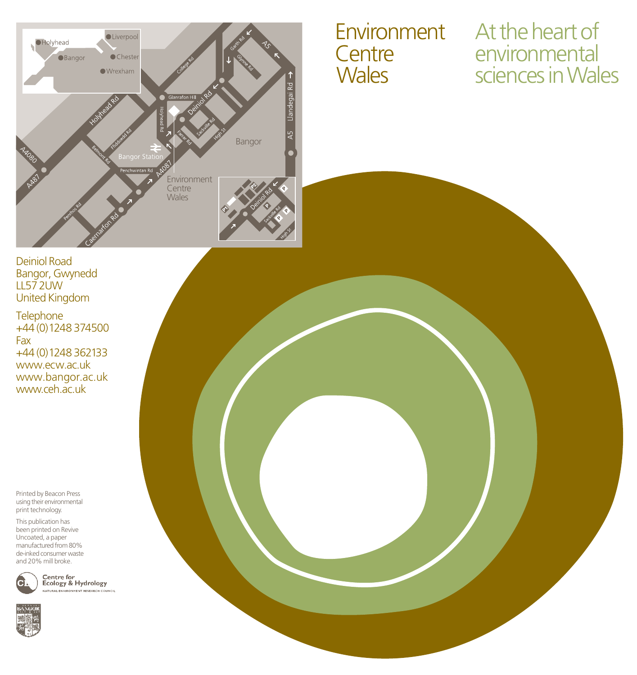

# **Centre Wales**

Environment At the heart of environmental sciences in Wales

Deiniol Road Bangor, Gwynedd LL57 2UW United Kingdom

**Telephone** +44 (0) 1248 374500 Fax +44 (0) 1248 362133 www.ecw.ac.uk www.bangor.ac.uk www.ceh.ac.uk

Printed by Beacon Press using their environmental print technology.

This publication has been printed on Revive Uncoated, a paper manufactured from 80% de-inked consumer waste and 20% mill broke.



**Centre for<br>Ecology & Hydrology** NATURAL ENVIRONHENT RESEARCH COUNCIL

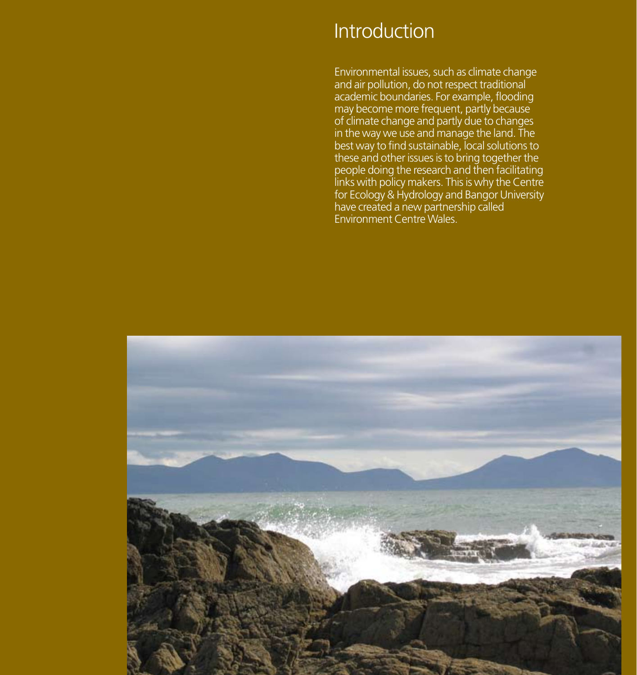### Introduction

Environmental issues, such as climate change and air pollution, do not respect traditional academic boundaries. For example, flooding may become more frequent, partly because of climate change and partly due to changes in the way we use and manage the land. The best way to find sustainable, local solutions to these and other issues is to bring together the people doing the research and then facilitating links with policy makers. This is why the Centre for Ecology & Hydrology and Bangor University have created a new partnership called Environment Centre Wales.

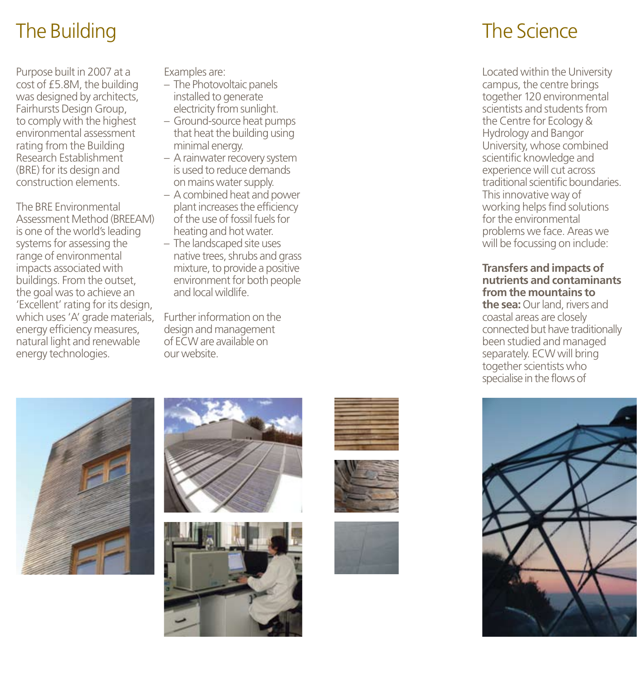## The Building

Purpose built in 2007 at a cost of £5.8M, the building was designed by architects, Fairhursts Design Group, to comply with the highest environmental assessment rating from the Building Research Establishment (BRE) for its design and construction elements.

The BRE Environmental Assessment Method (BREEAM) is one of the world's leading systems for assessing the range of environmental impacts associated with buildings. From the outset, the goal was to achieve an 'Excellent' rating for its design, which uses 'A' grade materials, Further information on the energy efficiency measures, natural light and renewable energy technologies.

Examples are:

- The Photovoltaic panels installed to generate electricity from sunlight.
- Ground-source heat pumps that heat the building using minimal energy.
- A rainwater recovery system is used to reduce demands on mains water supply.
- A combined heat and power plant increases the efficiency of the use of fossil fuels for heating and hot water.
- The landscaped site uses native trees, shrubs and grass mixture, to provide a positive environment for both people and local wildlife.

design and management of ECW are available on our website.













## The Science

Located within the University campus, the centre brings together 120 environmental scientists and students from the Centre for Ecology & Hydrology and Bangor University, whose combined scientific knowledge and experience will cut across traditional scientific boundaries. This innovative way of working helps find solutions for the environmental problems we face. Areas we will be focussing on include:

#### **Transfers and impacts of nutrients and contaminants from the mountains to the sea:** Our land, rivers and coastal areas are closely connected but have traditionally been studied and managed separately. ECW will bring together scientists who specialise in the flows of